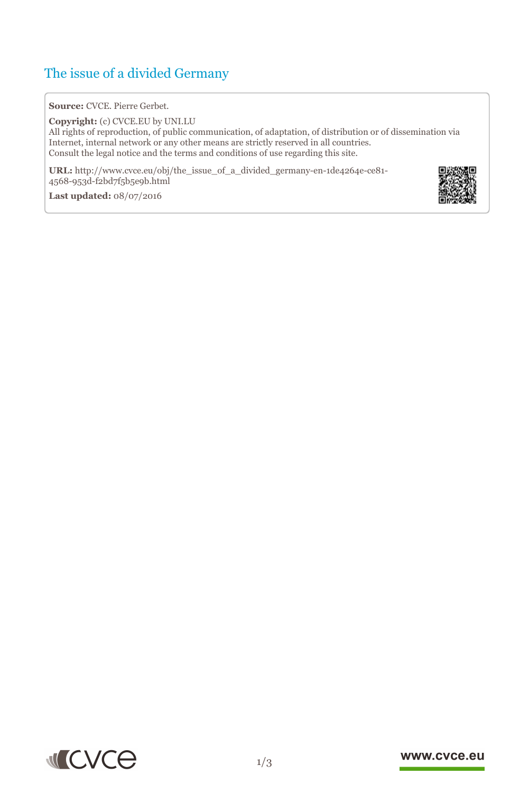# The issue of a divided Germany

## **Source:** CVCE. Pierre Gerbet.

**Copyright:** (c) CVCE.EU by UNI.LU All rights of reproduction, of public communication, of adaptation, of distribution or of dissemination via Internet, internal network or any other means are strictly reserved in all countries. Consult the legal notice and the terms and conditions of use regarding this site.

**URL:** http://www.cvce.eu/obj/the\_issue\_of\_a\_divided\_germany-en-1de4264e-ce81- 4568-953[d-f2bd7f5b5e9b.html](http://www.cvce.eu/obj/the_issue_of_a_divided_germany-en-1de4264e-ce81-4568-953d-f2bd7f5b5e9b.html)

**Las[t updated:](http://www.cvce.eu/obj/the_issue_of_a_divided_germany-en-1de4264e-ce81-4568-953d-f2bd7f5b5e9b.html)** 08/07/2016



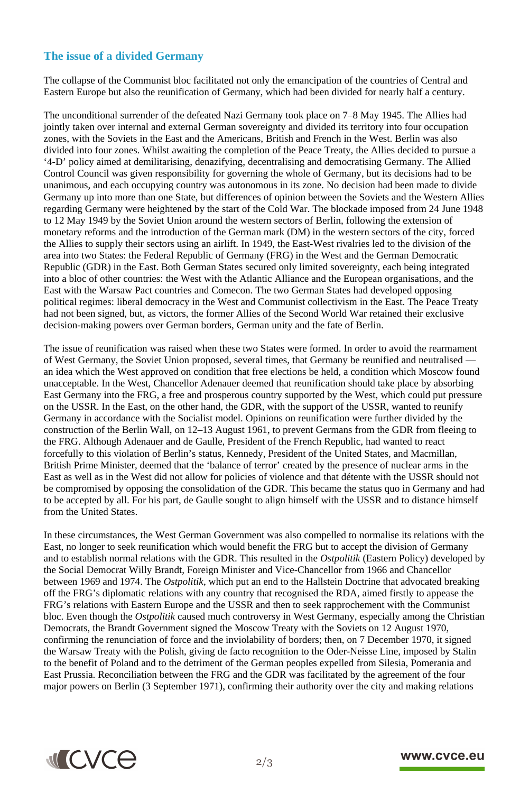## **The issue of a divided Germany**

The collapse of the Communist bloc facilitated not only the emancipation of the countries of Central and Eastern Europe but also the reunification of Germany, which had been divided for nearly half a century.

The unconditional surrender of the defeated Nazi Germany took place on 7–8 May 1945. The Allies had jointly taken over internal and external German sovereignty and divided its territory into four occupation zones, with the Soviets in the East and the Americans, British and French in the West. Berlin was also divided into four zones. Whilst awaiting the completion of the Peace Treaty, the Allies decided to pursue a '4-D' policy aimed at demilitarising, denazifying, decentralising and democratising Germany. The Allied Control Council was given responsibility for governing the whole of Germany, but its decisions had to be unanimous, and each occupying country was autonomous in its zone. No decision had been made to divide Germany up into more than one State, but differences of opinion between the Soviets and the Western Allies regarding Germany were heightened by the start of the Cold War. The blockade imposed from 24 June 1948 to 12 May 1949 by the Soviet Union around the western sectors of Berlin, following the extension of monetary reforms and the introduction of the German mark (DM) in the western sectors of the city, forced the Allies to supply their sectors using an airlift. In 1949, the East-West rivalries led to the division of the area into two States: the Federal Republic of Germany (FRG) in the West and the German Democratic Republic (GDR) in the East. Both German States secured only limited sovereignty, each being integrated into a bloc of other countries: the West with the Atlantic Alliance and the European organisations, and the East with the Warsaw Pact countries and Comecon. The two German States had developed opposing political regimes: liberal democracy in the West and Communist collectivism in the East. The Peace Treaty had not been signed, but, as victors, the former Allies of the Second World War retained their exclusive decision-making powers over German borders, German unity and the fate of Berlin.

The issue of reunification was raised when these two States were formed. In order to avoid the rearmament of West Germany, the Soviet Union proposed, several times, that Germany be reunified and neutralised an idea which the West approved on condition that free elections be held, a condition which Moscow found unacceptable. In the West, Chancellor Adenauer deemed that reunification should take place by absorbing East Germany into the FRG, a free and prosperous country supported by the West, which could put pressure on the USSR. In the East, on the other hand, the GDR, with the support of the USSR, wanted to reunify Germany in accordance with the Socialist model. Opinions on reunification were further divided by the construction of the Berlin Wall, on 12–13 August 1961, to prevent Germans from the GDR from fleeing to the FRG. Although Adenauer and de Gaulle, President of the French Republic, had wanted to react forcefully to this violation of Berlin's status, Kennedy, President of the United States, and Macmillan, British Prime Minister, deemed that the 'balance of terror' created by the presence of nuclear arms in the East as well as in the West did not allow for policies of violence and that détente with the USSR should not be compromised by opposing the consolidation of the GDR. This became the status quo in Germany and had to be accepted by all. For his part, de Gaulle sought to align himself with the USSR and to distance himself from the United States.

In these circumstances, the West German Government was also compelled to normalise its relations with the East, no longer to seek reunification which would benefit the FRG but to accept the division of Germany and to establish normal relations with the GDR. This resulted in the *Ostpolitik* (Eastern Policy) developed by the Social Democrat Willy Brandt, Foreign Minister and Vice-Chancellor from 1966 and Chancellor between 1969 and 1974. The *Ostpolitik*, which put an end to the Hallstein Doctrine that advocated breaking off the FRG's diplomatic relations with any country that recognised the RDA, aimed firstly to appease the FRG's relations with Eastern Europe and the USSR and then to seek rapprochement with the Communist bloc. Even though the *Ostpolitik* caused much controversy in West Germany, especially among the Christian Democrats, the Brandt Government signed the Moscow Treaty with the Soviets on 12 August 1970, confirming the renunciation of force and the inviolability of borders; then, on 7 December 1970, it signed the Warsaw Treaty with the Polish, giving de facto recognition to the Oder-Neisse Line, imposed by Stalin to the benefit of Poland and to the detriment of the German peoples expelled from Silesia, Pomerania and East Prussia. Reconciliation between the FRG and the GDR was facilitated by the agreement of the four major powers on Berlin (3 September 1971), confirming their authority over the city and making relations



### www.cvce.eu